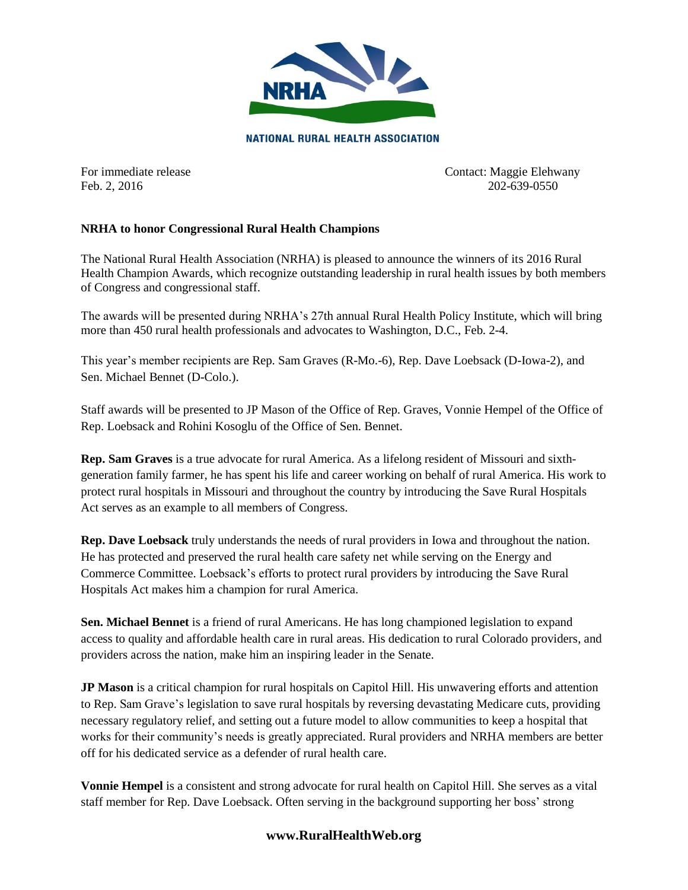

**NATIONAL RURAL HEALTH ASSOCIATION** 

For immediate release Contact: Maggie Elehwany Feb. 2, 2016 202-639-0550

## **NRHA to honor Congressional Rural Health Champions**

The National Rural Health Association (NRHA) is pleased to announce the winners of its 2016 Rural Health Champion Awards, which recognize outstanding leadership in rural health issues by both members of Congress and congressional staff.

The awards will be presented during NRHA's 27th annual Rural Health Policy Institute, which will bring more than 450 rural health professionals and advocates to Washington, D.C., Feb. 2-4.

This year's member recipients are Rep. Sam Graves (R-Mo.-6), Rep. Dave Loebsack (D-Iowa-2), and Sen. Michael Bennet (D-Colo.).

Staff awards will be presented to JP Mason of the Office of Rep. Graves, Vonnie Hempel of the Office of Rep. Loebsack and Rohini Kosoglu of the Office of Sen. Bennet.

**Rep. Sam Graves** is a true advocate for rural America. As a lifelong resident of Missouri and sixthgeneration family farmer, he has spent his life and career working on behalf of rural America. His work to protect rural hospitals in Missouri and throughout the country by introducing the Save Rural Hospitals Act serves as an example to all members of Congress.

**Rep. Dave Loebsack** truly understands the needs of rural providers in Iowa and throughout the nation. He has protected and preserved the rural health care safety net while serving on the Energy and Commerce Committee. Loebsack's efforts to protect rural providers by introducing the Save Rural Hospitals Act makes him a champion for rural America.

**Sen. Michael Bennet** is a friend of rural Americans. He has long championed legislation to expand access to quality and affordable health care in rural areas. His dedication to rural Colorado providers, and providers across the nation, make him an inspiring leader in the Senate.

**JP Mason** is a critical champion for rural hospitals on Capitol Hill. His unwavering efforts and attention to Rep. Sam Grave's legislation to save rural hospitals by reversing devastating Medicare cuts, providing necessary regulatory relief, and setting out a future model to allow communities to keep a hospital that works for their community's needs is greatly appreciated. Rural providers and NRHA members are better off for his dedicated service as a defender of rural health care.

**Vonnie Hempel** is a consistent and strong advocate for rural health on Capitol Hill. She serves as a vital staff member for Rep. Dave Loebsack. Often serving in the background supporting her boss' strong

## **www.RuralHealthWeb.org**